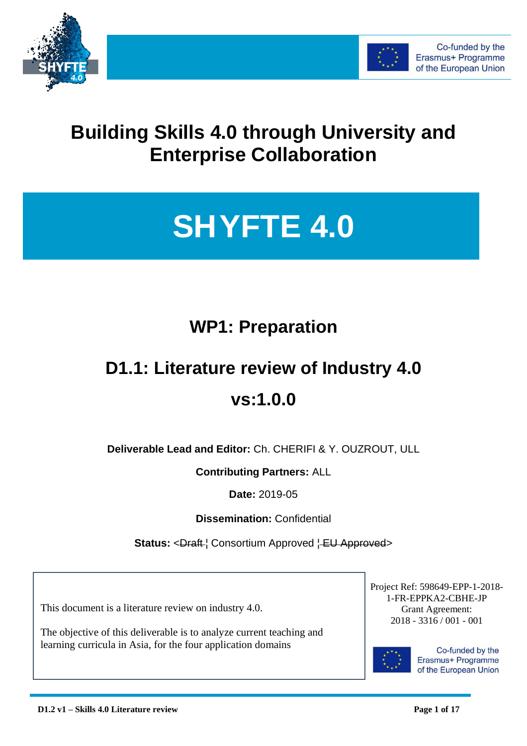



# **Building Skills 4.0 through University and Enterprise Collaboration**

# **SHYFTE 4.0**

# **WP1: Preparation**

# **D1.1: Literature review of Industry 4.0 vs:1.0.0**

**Deliverable Lead and Editor:** Ch. CHERIFI & Y. OUZROUT, ULL

**Contributing Partners:** ALL

**Date:** 2019-05

**Dissemination:** Confidential

Status: <Draft <sup>{</sup> Consortium Approved { **EU Approved** >

This document is a literature review on industry 4.0.

The objective of this deliverable is to analyze current teaching and learning curricula in Asia, for the four application domains

Project Ref: 598649-EPP-1-2018- 1-FR-EPPKA2-CBHE-JP Grant Agreement: 2018 - 3316 / 001 - 001



Co-funded by the Erasmus+ Programme of the European Union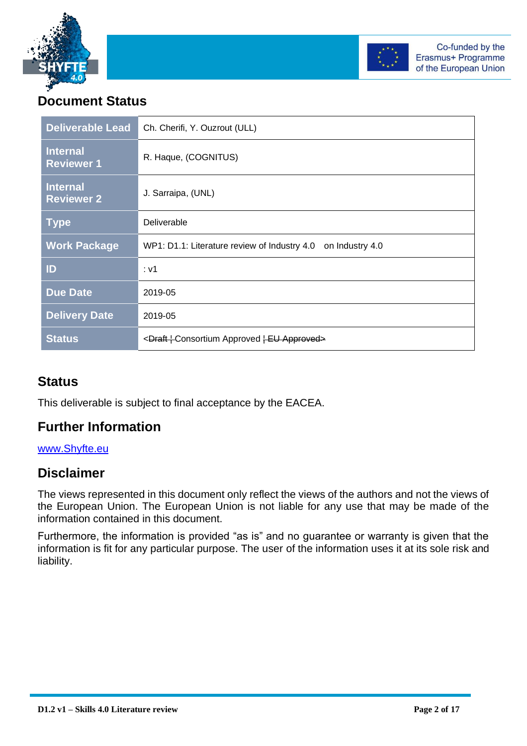



# **Document Status**

| <b>Deliverable Lead</b>              | Ch. Cherifi, Y. Ouzrout (ULL)                                    |  |
|--------------------------------------|------------------------------------------------------------------|--|
| <b>Internal</b><br><b>Reviewer 1</b> | R. Haque, (COGNITUS)                                             |  |
| <b>Internal</b><br><b>Reviewer 2</b> | J. Sarraipa, (UNL)                                               |  |
| <b>Type</b>                          | Deliverable                                                      |  |
| <b>Work Package</b>                  | WP1: D1.1: Literature review of Industry 4.0<br>on Industry 4.0  |  |
| ID                                   | : v1                                                             |  |
| <b>Due Date</b>                      | 2019-05                                                          |  |
| <b>Delivery Date</b>                 | 2019-05                                                          |  |
| <b>Status</b>                        | <draft+consortium approved="" approved+eu=""></draft+consortium> |  |

#### **Status**

This deliverable is subject to final acceptance by the EACEA.

## **Further Information**

#### [www.Shyfte.eu](http://www.shyfte.eu/)

#### **Disclaimer**

The views represented in this document only reflect the views of the authors and not the views of the European Union. The European Union is not liable for any use that may be made of the information contained in this document.

Furthermore, the information is provided "as is" and no guarantee or warranty is given that the information is fit for any particular purpose. The user of the information uses it at its sole risk and liability.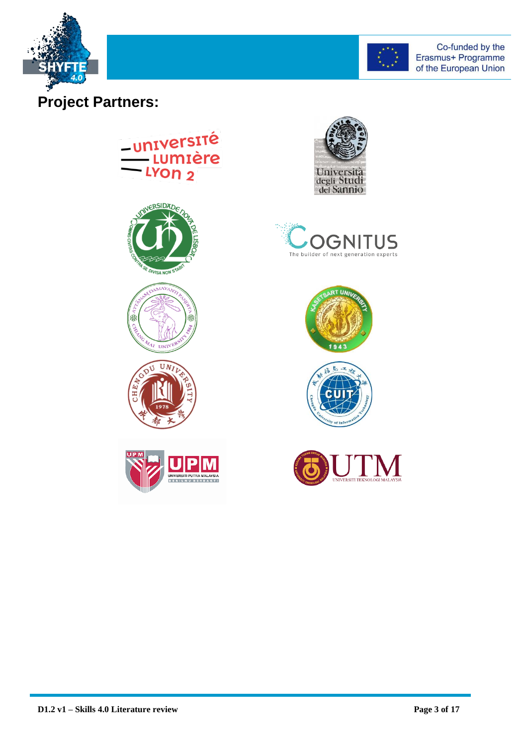



# **Project Partners:**

# -université **Lumière** LYON<sub>2</sub>













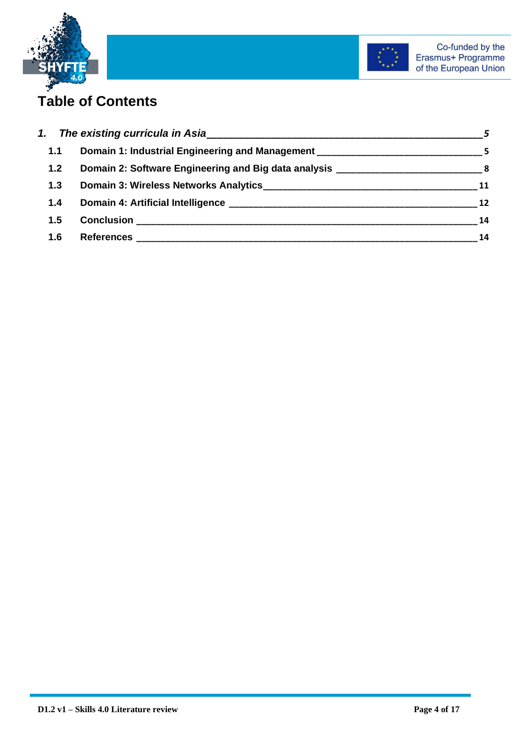



# **Table of Contents**

| 1.1   | Domain 1: Industrial Engineering and Management ________________________________                                                          |    |
|-------|-------------------------------------------------------------------------------------------------------------------------------------------|----|
| $1.2$ | Domain 2: Software Engineering and Big data analysis ________________________________8                                                    |    |
| 1.3   |                                                                                                                                           | 11 |
| 1.4   |                                                                                                                                           | 12 |
| 1.5   | <b>Conclusion</b><br><u> 1999 - Johann John Harry, mars eta bainar eta industrial eta erromana eta erromana eta erromana eta erromana</u> | 14 |
| 1.6   |                                                                                                                                           | 14 |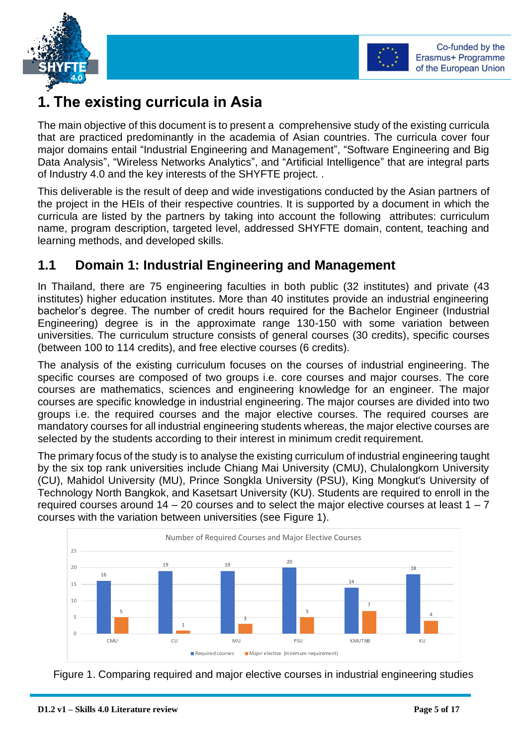



# <span id="page-4-0"></span>**1. The existing curricula in Asia**

The main objective of this document is to present a comprehensive study of the existing curricula that are practiced predominantly in the academia of Asian countries. The curricula cover four major domains entail "Industrial Engineering and Management", "Software Engineering and Big Data Analysis", "Wireless Networks Analytics", and "Artificial Intelligence" that are integral parts of Industry 4.0 and the key interests of the SHYFTE project. .

This deliverable is the result of deep and wide investigations conducted by the Asian partners of the project in the HEIs of their respective countries. It is supported by a document in which the curricula are listed by the partners by taking into account the following attributes: curriculum name, program description, targeted level, addressed SHYFTE domain, content, teaching and learning methods, and developed skills.

## <span id="page-4-1"></span>**1.1 Domain 1: Industrial Engineering and Management**

In Thailand, there are 75 engineering faculties in both public (32 institutes) and private (43 institutes) higher education institutes. More than 40 institutes provide an industrial engineering bachelor's degree. The number of credit hours required for the Bachelor Engineer (Industrial Engineering) degree is in the approximate range 130-150 with some variation between universities. The curriculum structure consists of general courses (30 credits), specific courses (between 100 to 114 credits), and free elective courses (6 credits).

The analysis of the existing curriculum focuses on the courses of industrial engineering. The specific courses are composed of two groups i.e. core courses and major courses. The core courses are mathematics, sciences and engineering knowledge for an engineer. The major courses are specific knowledge in industrial engineering. The major courses are divided into two groups i.e. the required courses and the major elective courses. The required courses are mandatory courses for all industrial engineering students whereas, the major elective courses are selected by the students according to their interest in minimum credit requirement.

The primary focus of the study is to analyse the existing curriculum of industrial engineering taught by the six top rank universities include Chiang Mai University (CMU), Chulalongkorn University (CU), Mahidol University (MU), Prince Songkla University (PSU), King Mongkut's University of Technology North Bangkok, and Kasetsart University (KU). Students are required to enroll in the required courses around  $14 - 20$  courses and to select the major elective courses at least  $1 - 7$ courses with the variation between universities (see Figure 1).



Figure 1. Comparing required and major elective courses in industrial engineering studies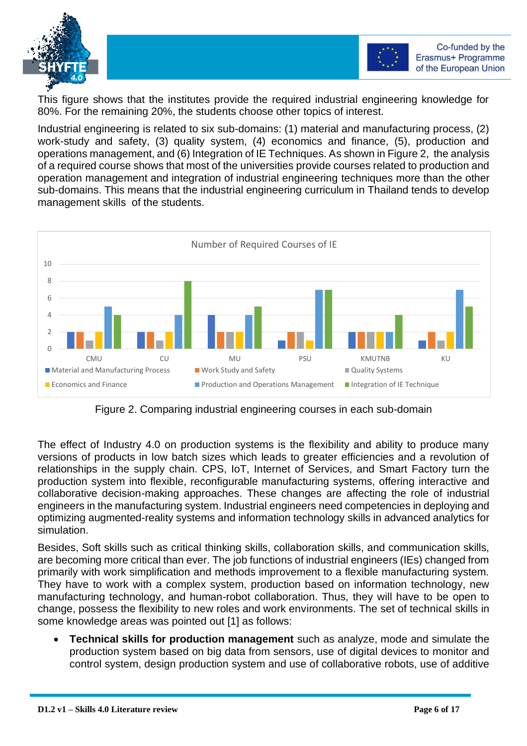



This figure shows that the institutes provide the required industrial engineering knowledge for 80%. For the remaining 20%, the students choose other topics of interest.

Industrial engineering is related to six sub-domains: (1) material and manufacturing process, (2) work-study and safety, (3) quality system, (4) economics and finance, (5), production and operations management, and (6) Integration of IE Techniques. As shown in Figure 2, the analysis of a required course shows that most of the universities provide courses related to production and operation management and integration of industrial engineering techniques more than the other sub-domains. This means that the industrial engineering curriculum in Thailand tends to develop management skills of the students.



Figure 2. Comparing industrial engineering courses in each sub-domain

The effect of Industry 4.0 on production systems is the flexibility and ability to produce many versions of products in low batch sizes which leads to greater efficiencies and a revolution of relationships in the supply chain. CPS, IoT, Internet of Services, and Smart Factory turn the production system into flexible, reconfigurable manufacturing systems, offering interactive and collaborative decision-making approaches. These changes are affecting the role of industrial engineers in the manufacturing system. Industrial engineers need competencies in deploying and optimizing augmented-reality systems and information technology skills in advanced analytics for simulation.

Besides, Soft skills such as critical thinking skills, collaboration skills, and communication skills, are becoming more critical than ever. The job functions of industrial engineers (IEs) changed from primarily with work simplification and methods improvement to a flexible manufacturing system. They have to work with a complex system, production based on information technology, new manufacturing technology, and human-robot collaboration. Thus, they will have to be open to change, possess the flexibility to new roles and work environments. The set of technical skills in some knowledge areas was pointed out [1] as follows:

• **Technical skills for production management** such as analyze, mode and simulate the production system based on big data from sensors, use of digital devices to monitor and control system, design production system and use of collaborative robots, use of additive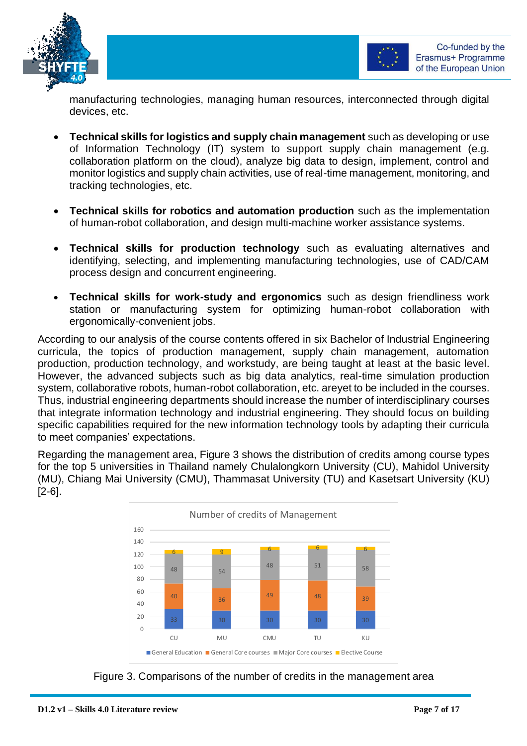

manufacturing technologies, managing human resources, interconnected through digital devices, etc.

- **Technical skills for logistics and supply chain management** such as developing or use of Information Technology (IT) system to support supply chain management (e.g. collaboration platform on the cloud), analyze big data to design, implement, control and monitor logistics and supply chain activities, use of real-time management, monitoring, and tracking technologies, etc.
- **Technical skills for robotics and automation production** such as the implementation of human-robot collaboration, and design multi-machine worker assistance systems.
- **Technical skills for production technology** such as evaluating alternatives and identifying, selecting, and implementing manufacturing technologies, use of CAD/CAM process design and concurrent engineering.
- **Technical skills for work-study and ergonomics** such as design friendliness work station or manufacturing system for optimizing human-robot collaboration with ergonomically-convenient jobs.

According to our analysis of the course contents offered in six Bachelor of Industrial Engineering curricula, the topics of production management, supply chain management, automation production, production technology, and workstudy, are being taught at least at the basic level. However, the advanced subjects such as big data analytics, real-time simulation production system, collaborative robots, human-robot collaboration, etc. areyet to be included in the courses. Thus, industrial engineering departments should increase the number of interdisciplinary courses that integrate information technology and industrial engineering. They should focus on building specific capabilities required for the new information technology tools by adapting their curricula to meet companies' expectations.

Regarding the management area, Figure 3 shows the distribution of credits among course types for the top 5 universities in Thailand namely Chulalongkorn University (CU), Mahidol University (MU), Chiang Mai University (CMU), Thammasat University (TU) and Kasetsart University (KU) [2-6].



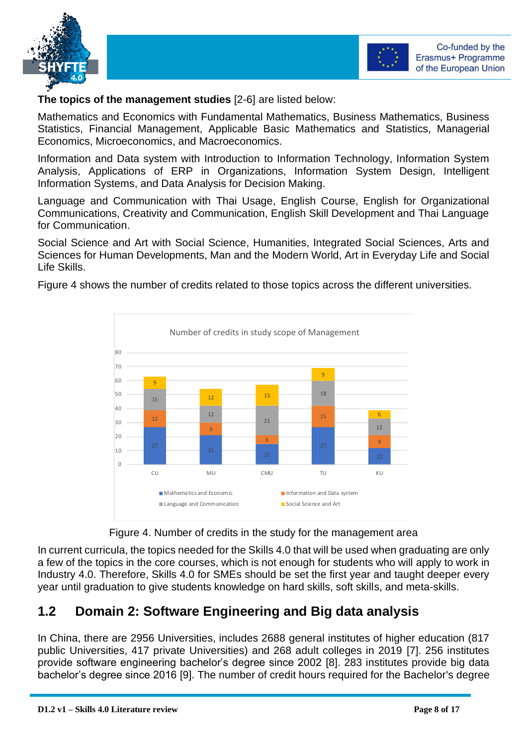



#### **The topics of the management studies** [2-6] are listed below:

Mathematics and Economics with Fundamental Mathematics, Business Mathematics, Business Statistics, Financial Management, Applicable Basic Mathematics and Statistics, Managerial Economics, Microeconomics, and Macroeconomics.

Information and Data system with Introduction to Information Technology, Information System Analysis, Applications of ERP in Organizations, Information System Design, Intelligent Information Systems, and Data Analysis for Decision Making.

Language and Communication with Thai Usage, English Course, English for Organizational Communications, Creativity and Communication, English Skill Development and Thai Language for Communication.

Social Science and Art with Social Science, Humanities, Integrated Social Sciences, Arts and Sciences for Human Developments, Man and the Modern World, Art in Everyday Life and Social Life Skills.

Figure 4 shows the number of credits related to those topics across the different universities.





In current curricula, the topics needed for the Skills 4.0 that will be used when graduating are only a few of the topics in the core courses, which is not enough for students who will apply to work in Industry 4.0. Therefore, Skills 4.0 for SMEs should be set the first year and taught deeper every year until graduation to give students knowledge on hard skills, soft skills, and meta-skills.

## <span id="page-7-0"></span>**1.2 Domain 2: Software Engineering and Big data analysis**

In China, there are 2956 Universities, includes 2688 general institutes of higher education (817 public Universities, 417 private Universities) and 268 adult colleges in 2019 [7]. 256 institutes provide software engineering bachelor's degree since 2002 [8]. 283 institutes provide big data bachelor's degree since 2016 [9]. The number of credit hours required for the Bachelor's degree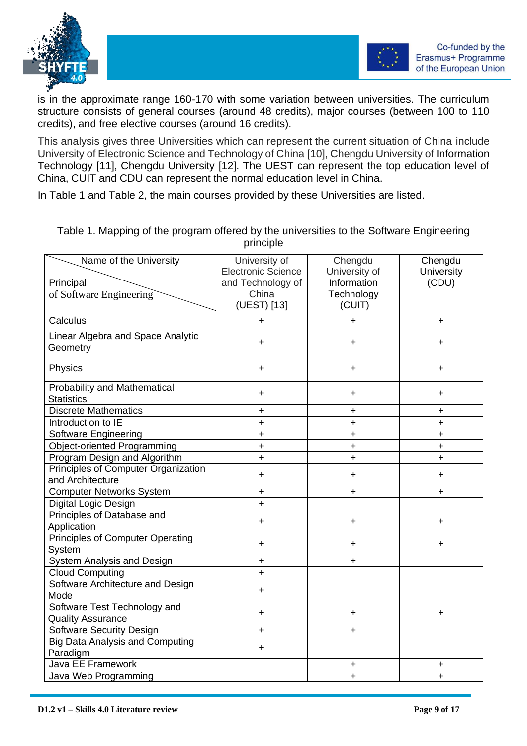



is in the approximate range 160-170 with some variation between universities. The curriculum structure consists of general courses (around 48 credits), major courses (between 100 to 110 credits), and free elective courses (around 16 credits).

This analysis gives three Universities which can represent the current situation of China include University of Electronic Science and Technology of China [10], Chengdu University of Information Technology [11], Chengdu University [12]. The UEST can represent the top education level of China, CUIT and CDU can represent the normal education level in China.

In Table 1 and Table 2, the main courses provided by these Universities are listed.

| Name of the University<br>Principal<br>of Software Engineering | University of<br><b>Electronic Science</b><br>and Technology of<br>China<br>(UEST) [13] | Chengdu<br>University of<br>Information<br>Technology<br>(CUIT) | Chengdu<br><b>University</b><br>(CDU) |
|----------------------------------------------------------------|-----------------------------------------------------------------------------------------|-----------------------------------------------------------------|---------------------------------------|
| Calculus                                                       | $\ddot{}$                                                                               | $\ddot{}$                                                       | $\ddot{}$                             |
| Linear Algebra and Space Analytic<br>Geometry                  | $\pm$                                                                                   | $\ddot{}$                                                       | $\pm$                                 |
| Physics                                                        | $\ddot{}$                                                                               | $\ddot{}$                                                       | $\pm$                                 |
| Probability and Mathematical<br><b>Statistics</b>              | $\ddot{}$                                                                               | $\ddot{}$                                                       | +                                     |
| <b>Discrete Mathematics</b>                                    | +                                                                                       | $\ddag$                                                         | +                                     |
| Introduction to IE                                             | $\ddot{}$                                                                               | $\ddot{}$                                                       | $\ddot{}$                             |
| Software Engineering                                           | $\ddot{}$                                                                               | $\ddot{}$                                                       | $\ddot{}$                             |
| <b>Object-oriented Programming</b>                             | $\ddot{}$                                                                               | $\ddot{}$                                                       | $\ddot{}$                             |
| Program Design and Algorithm                                   | $\ddot{}$                                                                               | $\ddot{}$                                                       | $\ddot{}$                             |
| Principles of Computer Organization<br>and Architecture        | $\ddot{}$                                                                               | $\ddot{}$                                                       | +                                     |
| <b>Computer Networks System</b>                                | +                                                                                       | $\ddot{}$                                                       | $\ddot{}$                             |
| Digital Logic Design                                           | $\ddot{}$                                                                               |                                                                 |                                       |
| Principles of Database and<br>Application                      | $\ddot{}$                                                                               | $\ddot{}$                                                       | $\ddagger$                            |
| <b>Principles of Computer Operating</b><br>System              | $\ddot{}$                                                                               | $\ddot{}$                                                       | $\ddot{}$                             |
| System Analysis and Design                                     | +                                                                                       | $\ddot{}$                                                       |                                       |
| <b>Cloud Computing</b>                                         | $\ddot{}$                                                                               |                                                                 |                                       |
| Software Architecture and Design<br>Mode                       | $\ddot{}$                                                                               |                                                                 |                                       |
| Software Test Technology and<br><b>Quality Assurance</b>       | $\ddot{}$                                                                               | $\ddot{}$                                                       | $\ddot{}$                             |
| <b>Software Security Design</b>                                | $\ddot{}$                                                                               | $\ddot{}$                                                       |                                       |
| <b>Big Data Analysis and Computing</b><br>Paradigm             | $\ddot{}$                                                                               |                                                                 |                                       |
| Java EE Framework                                              |                                                                                         | $\ddot{}$                                                       | +                                     |
| Java Web Programming                                           |                                                                                         | $\ddot{}$                                                       | $\ddot{}$                             |

Table 1. Mapping of the program offered by the universities to the Software Engineering principle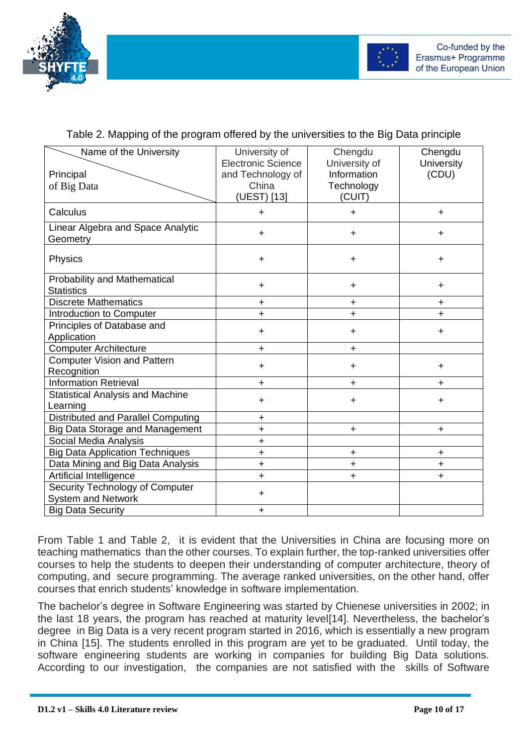

Table 2. Mapping of the program offered by the universities to the Big Data principle

| Name of the University<br>Principal<br>of Big Data           | University of<br><b>Electronic Science</b><br>and Technology of<br>China<br>(UEST) [13] | Chengdu<br>University of<br>Information<br>Technology<br>(CUIT) | Chengdu<br><b>University</b><br>(CDU) |
|--------------------------------------------------------------|-----------------------------------------------------------------------------------------|-----------------------------------------------------------------|---------------------------------------|
| Calculus                                                     | $\ddot{}$                                                                               | $\ddot{}$                                                       | $\ddot{}$                             |
| Linear Algebra and Space Analytic<br>Geometry                | $\ddot{}$                                                                               | $\ddot{}$                                                       | $\ddot{}$                             |
| <b>Physics</b>                                               | $+$                                                                                     | $\ddot{}$                                                       | $\ddot{}$                             |
| <b>Probability and Mathematical</b><br><b>Statistics</b>     | $\ddot{}$                                                                               | $\ddot{}$                                                       | +                                     |
| <b>Discrete Mathematics</b>                                  | $+$                                                                                     | $\ddot{}$                                                       | $\ddot{}$                             |
| Introduction to Computer                                     | $\ddot{}$                                                                               | $\ddot{}$                                                       | $\ddot{}$                             |
| Principles of Database and<br>Application                    | $+$                                                                                     | $\ddot{}$                                                       | $\ddot{}$                             |
| <b>Computer Architecture</b>                                 | $\ddot{}$                                                                               | $\ddot{}$                                                       |                                       |
| <b>Computer Vision and Pattern</b><br>Recognition            | $\ddot{}$                                                                               | $\ddot{}$                                                       | $\ddot{}$                             |
| <b>Information Retrieval</b>                                 | $\ddot{}$                                                                               | $\ddot{}$                                                       | $\pm$                                 |
| <b>Statistical Analysis and Machine</b><br>Learning          | $+$                                                                                     | $\ddot{}$                                                       | $\ddot{}$                             |
| Distributed and Parallel Computing                           | $\ddot{}$                                                                               |                                                                 |                                       |
| <b>Big Data Storage and Management</b>                       | $\ddot{}$                                                                               | $\ddot{}$                                                       | $\ddot{}$                             |
| Social Media Analysis                                        | $\ddot{}$                                                                               |                                                                 |                                       |
| <b>Big Data Application Techniques</b>                       | $\ddot{}$                                                                               | $\ddot{}$                                                       | +                                     |
| Data Mining and Big Data Analysis                            | $\ddot{}$                                                                               | $\ddot{}$                                                       | $\ddot{}$                             |
| Artificial Intelligence                                      | $\ddot{}$                                                                               | $\ddot{}$                                                       | $\ddot{}$                             |
| Security Technology of Computer<br><b>System and Network</b> | $+$                                                                                     |                                                                 |                                       |
| <b>Big Data Security</b>                                     | $\ddot{}$                                                                               |                                                                 |                                       |

From Table 1 and Table 2, it is evident that the Universities in China are focusing more on teaching mathematics than the other courses. To explain further, the top-ranked universities offer courses to help the students to deepen their understanding of computer architecture, theory of computing, and secure programming. The average ranked universities, on the other hand, offer courses that enrich students' knowledge in software implementation.

The bachelor's degree in Software Engineering was started by Chienese universities in 2002; in the last 18 years, the program has reached at maturity level[14]. Nevertheless, the bachelor's degree in Big Data is a very recent program started in 2016, which is essentially a new program in China [15]. The students enrolled in this program are yet to be graduated. Until today, the software engineering students are working in companies for building Big Data solutions. According to our investigation, the companies are not satisfied with the skills of Software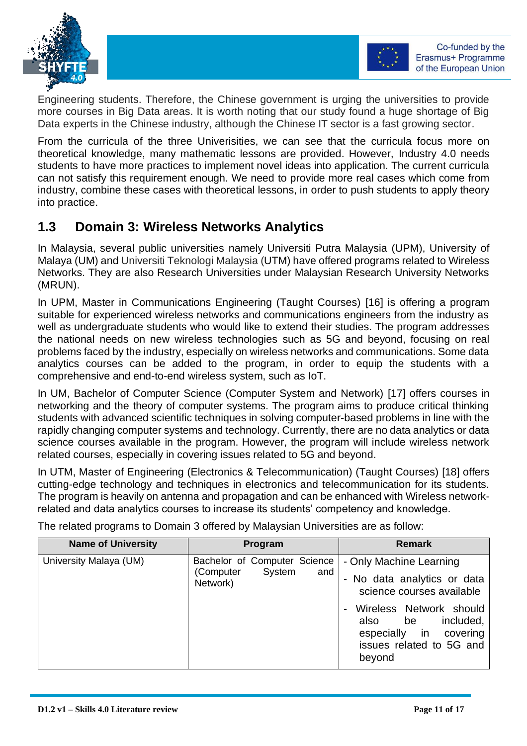



Engineering students. Therefore, the Chinese government is urging the universities to provide more courses in Big Data areas. It is worth noting that our study found a huge shortage of Big Data experts in the Chinese industry, although the Chinese IT sector is a fast growing sector.

From the curricula of the three Univerisities, we can see that the curricula focus more on theoretical knowledge, many mathematic lessons are provided. However, Industry 4.0 needs students to have more practices to implement novel ideas into application. The current curricula can not satisfy this requirement enough. We need to provide more real cases which come from industry, combine these cases with theoretical lessons, in order to push students to apply theory into practice.

## <span id="page-10-0"></span>**1.3 Domain 3: Wireless Networks Analytics**

In Malaysia, several public universities namely Universiti Putra Malaysia (UPM), University of Malaya (UM) and Universiti Teknologi Malaysia (UTM) have offered programs related to Wireless Networks. They are also Research Universities under Malaysian Research University Networks (MRUN).

In UPM, Master in Communications Engineering (Taught Courses) [16] is offering a program suitable for experienced wireless networks and communications engineers from the industry as well as undergraduate students who would like to extend their studies. The program addresses the national needs on new wireless technologies such as 5G and beyond, focusing on real problems faced by the industry, especially on wireless networks and communications. Some data analytics courses can be added to the program, in order to equip the students with a comprehensive and end-to-end wireless system, such as IoT.

In UM, Bachelor of Computer Science (Computer System and Network) [17] offers courses in networking and the theory of computer systems. The program aims to produce critical thinking students with advanced scientific techniques in solving computer-based problems in line with the rapidly changing computer systems and technology. Currently, there are no data analytics or data science courses available in the program. However, the program will include wireless network related courses, especially in covering issues related to 5G and beyond.

In UTM, Master of Engineering (Electronics & Telecommunication) (Taught Courses) [18] offers cutting-edge technology and techniques in electronics and telecommunication for its students. The program is heavily on antenna and propagation and can be enhanced with Wireless networkrelated and data analytics courses to increase its students' competency and knowledge.

The related programs to Domain 3 offered by Malaysian Universities are as follow:

| <b>Name of University</b> | Program                                                                | <b>Remark</b>                                                                                                                                                                                                   |
|---------------------------|------------------------------------------------------------------------|-----------------------------------------------------------------------------------------------------------------------------------------------------------------------------------------------------------------|
| University Malaya (UM)    | Bachelor of Computer Science<br>System<br>(Computer<br>and<br>Network) | - Only Machine Learning<br>- No data analytics or data<br>science courses available<br>Wireless Network should<br>included,<br>also<br>be<br>in<br>especially<br>covering<br>issues related to 5G and<br>beyond |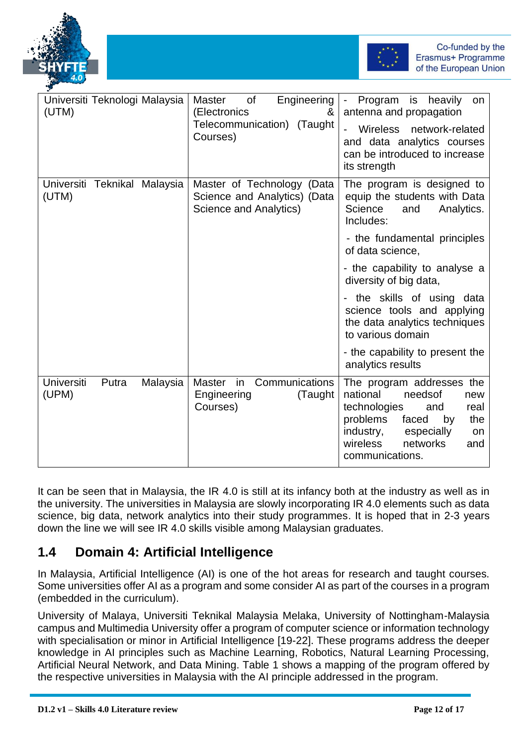



| Universiti Teknologi Malaysia<br>(UTM)          | Engineering<br><b>of</b><br><b>Master</b><br>(Electronics<br>&<br>Telecommunication) (Taught<br>Courses) | Program is heavily<br>$\sim 10$<br>on<br>antenna and propagation<br><b>Wireless</b><br>network-related<br>and data analytics courses<br>can be introduced to increase<br>its strength                       |
|-------------------------------------------------|----------------------------------------------------------------------------------------------------------|-------------------------------------------------------------------------------------------------------------------------------------------------------------------------------------------------------------|
| Universiti Teknikal Malaysia<br>(UTM)           | Master of Technology (Data<br>Science and Analytics) (Data<br>Science and Analytics)                     | The program is designed to<br>equip the students with Data<br>Science<br>and<br>Analytics.<br>Includes:                                                                                                     |
|                                                 |                                                                                                          | - the fundamental principles<br>of data science,                                                                                                                                                            |
|                                                 |                                                                                                          | - the capability to analyse a<br>diversity of big data,                                                                                                                                                     |
|                                                 |                                                                                                          | - the skills of using data<br>science tools and applying<br>the data analytics techniques<br>to various domain                                                                                              |
|                                                 |                                                                                                          | - the capability to present the<br>analytics results                                                                                                                                                        |
| <b>Universiti</b><br>Malaysia<br>Putra<br>(UPM) | Communications<br><b>Master</b><br>in<br>Engineering<br>(Taught<br>Courses)                              | The program addresses the<br>national<br>needsof<br>new<br>technologies<br>and<br>real<br>problems<br>the<br>faced<br>by<br>industry,<br>especially<br>on<br>wireless<br>networks<br>and<br>communications. |

It can be seen that in Malaysia, the IR 4.0 is still at its infancy both at the industry as well as in the university. The universities in Malaysia are slowly incorporating IR 4.0 elements such as data science, big data, network analytics into their study programmes. It is hoped that in 2-3 years down the line we will see IR 4.0 skills visible among Malaysian graduates.

## <span id="page-11-0"></span>**1.4 Domain 4: Artificial Intelligence**

In Malaysia, Artificial Intelligence (AI) is one of the hot areas for research and taught courses. Some universities offer AI as a program and some consider AI as part of the courses in a program (embedded in the curriculum).

University of Malaya, Universiti Teknikal Malaysia Melaka, University of Nottingham-Malaysia campus and Multimedia University offer a program of computer science or information technology with specialisation or minor in Artificial Intelligence [19-22]. These programs address the deeper knowledge in AI principles such as Machine Learning, Robotics, Natural Learning Processing, Artificial Neural Network, and Data Mining. Table 1 shows a mapping of the program offered by the respective universities in Malaysia with the AI principle addressed in the program.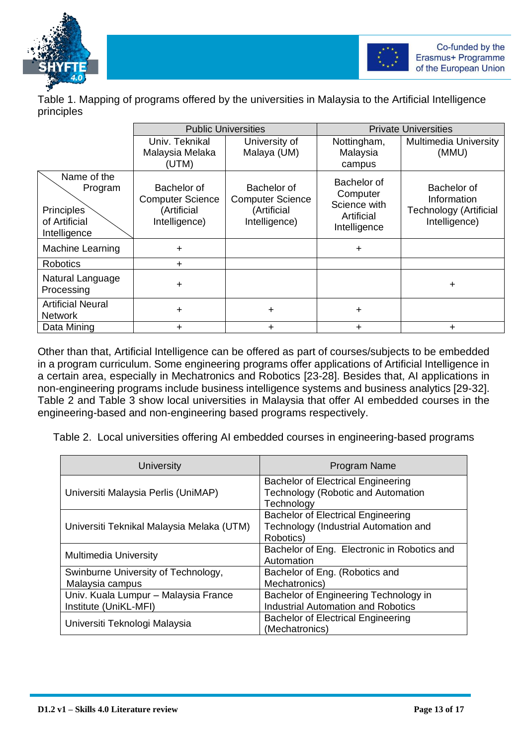



Table 1. Mapping of programs offered by the universities in Malaysia to the Artificial Intelligence principles

|                                                                              | <b>Public Universities</b>                                             |                                                                        | <b>Private Universities</b>                                           |                                                                              |
|------------------------------------------------------------------------------|------------------------------------------------------------------------|------------------------------------------------------------------------|-----------------------------------------------------------------------|------------------------------------------------------------------------------|
|                                                                              | Univ. Teknikal<br>Malaysia Melaka<br>(UTM)                             | University of<br>Malaya (UM)                                           | Nottingham,<br>Malaysia<br>campus                                     | <b>Multimedia University</b><br>(MMU)                                        |
| Name of the<br>Program<br><b>Principles</b><br>of Artificial<br>Intelligence | Bachelor of<br><b>Computer Science</b><br>(Artificial<br>Intelligence) | Bachelor of<br><b>Computer Science</b><br>(Artificial<br>Intelligence) | Bachelor of<br>Computer<br>Science with<br>Artificial<br>Intelligence | Bachelor of<br>Information<br><b>Technology (Artificial</b><br>Intelligence) |
| Machine Learning                                                             | ÷                                                                      |                                                                        | $\ddot{}$                                                             |                                                                              |
| <b>Robotics</b>                                                              | $\div$                                                                 |                                                                        |                                                                       |                                                                              |
| Natural Language<br>Processing                                               | $\ddot{}$                                                              |                                                                        |                                                                       | $\pm$                                                                        |
| <b>Artificial Neural</b><br><b>Network</b>                                   | $\ddot{}$                                                              | $\ddot{}$                                                              | +                                                                     |                                                                              |
| Data Mining                                                                  | $\ddot{}$                                                              | $\ddag$                                                                | +                                                                     | $\div$                                                                       |

Other than that, Artificial Intelligence can be offered as part of courses/subjects to be embedded in a program curriculum. Some engineering programs offer applications of Artificial Intelligence in a certain area, especially in Mechatronics and Robotics [23-28]. Besides that, AI applications in non-engineering programs include business intelligence systems and business analytics [29-32]. Table 2 and Table 3 show local universities in Malaysia that offer AI embedded courses in the engineering-based and non-engineering based programs respectively.

Table 2. Local universities offering AI embedded courses in engineering-based programs

| University                                                    | Program Name                                                                                    |
|---------------------------------------------------------------|-------------------------------------------------------------------------------------------------|
| Universiti Malaysia Perlis (UniMAP)                           | <b>Bachelor of Electrical Engineering</b><br>Technology (Robotic and Automation<br>Technology   |
| Universiti Teknikal Malaysia Melaka (UTM)                     | <b>Bachelor of Electrical Engineering</b><br>Technology (Industrial Automation and<br>Robotics) |
| <b>Multimedia University</b>                                  | Bachelor of Eng. Electronic in Robotics and<br>Automation                                       |
| Swinburne University of Technology,<br>Malaysia campus        | Bachelor of Eng. (Robotics and<br>Mechatronics)                                                 |
| Univ. Kuala Lumpur - Malaysia France<br>Institute (UniKL-MFI) | Bachelor of Engineering Technology in<br><b>Industrial Automation and Robotics</b>              |
| Universiti Teknologi Malaysia                                 | <b>Bachelor of Electrical Engineering</b><br>(Mechatronics)                                     |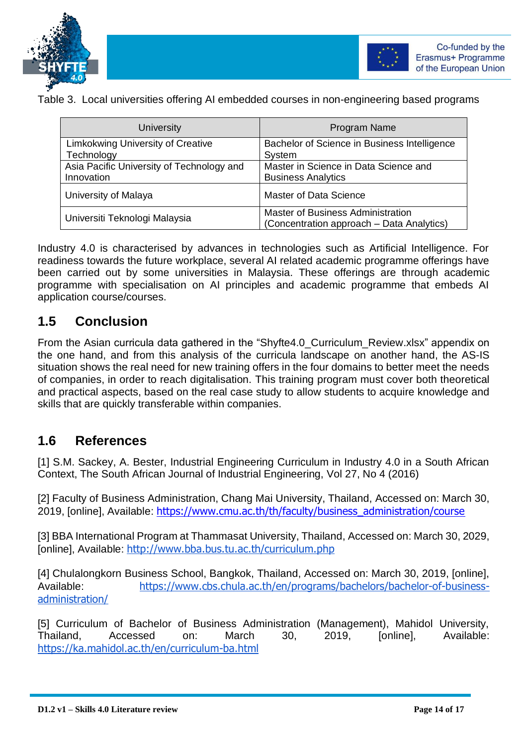



Table 3. Local universities offering AI embedded courses in non-engineering based programs

| <b>University</b>                         | Program Name                                                                          |  |
|-------------------------------------------|---------------------------------------------------------------------------------------|--|
| <b>Limkokwing University of Creative</b>  | Bachelor of Science in Business Intelligence                                          |  |
| Technology                                | System                                                                                |  |
| Asia Pacific University of Technology and | Master in Science in Data Science and                                                 |  |
| Innovation                                | <b>Business Analytics</b>                                                             |  |
| University of Malaya                      | <b>Master of Data Science</b>                                                         |  |
| Universiti Teknologi Malaysia             | <b>Master of Business Administration</b><br>(Concentration approach - Data Analytics) |  |

Industry 4.0 is characterised by advances in technologies such as Artificial Intelligence. For readiness towards the future workplace, several AI related academic programme offerings have been carried out by some universities in Malaysia. These offerings are through academic programme with specialisation on AI principles and academic programme that embeds AI application course/courses.

#### <span id="page-13-0"></span>**1.5 Conclusion**

From the Asian curricula data gathered in the "Shyfte4.0\_Curriculum\_Review.xlsx" appendix on the one hand, and from this analysis of the curricula landscape on another hand, the AS-IS situation shows the real need for new training offers in the four domains to better meet the needs of companies, in order to reach digitalisation. This training program must cover both theoretical and practical aspects, based on the real case study to allow students to acquire knowledge and skills that are quickly transferable within companies.

#### <span id="page-13-1"></span>**1.6 References**

[1] S.M. Sackey, A. Bester, Industrial Engineering Curriculum in Industry 4.0 in a South African Context, The South African Journal of Industrial Engineering, [Vol 27, No 4 \(2016\)](http://sajie.journals.ac.za/pub/issue/view/68)

[2] Faculty of Business Administration, Chang Mai University, Thailand, Accessed on: March 30, 2019, [online], Available: [https://www.cmu.ac.th/th/faculty/business\\_administration/course](https://www.cmu.ac.th/th/faculty/business_administration/course)

[3] BBA International Program at Thammasat University, Thailand, Accessed on: March 30, 2029, [online], Available: <http://www.bba.bus.tu.ac.th/curriculum.php>

[4] Chulalongkorn Business School, Bangkok, Thailand, Accessed on: March 30, 2019, [online], Available: [https://www.cbs.chula.ac.th/en/programs/bachelors/bachelor-of-business](https://www.cbs.chula.ac.th/en/programs/bachelors/bachelor-of-business-administration/)[administration/](https://www.cbs.chula.ac.th/en/programs/bachelors/bachelor-of-business-administration/)

[5] Curriculum of Bachelor of Business Administration (Management), Mahidol University, Thailand, Accessed on: March 30, 2019, [online], Available: <https://ka.mahidol.ac.th/en/curriculum-ba.html>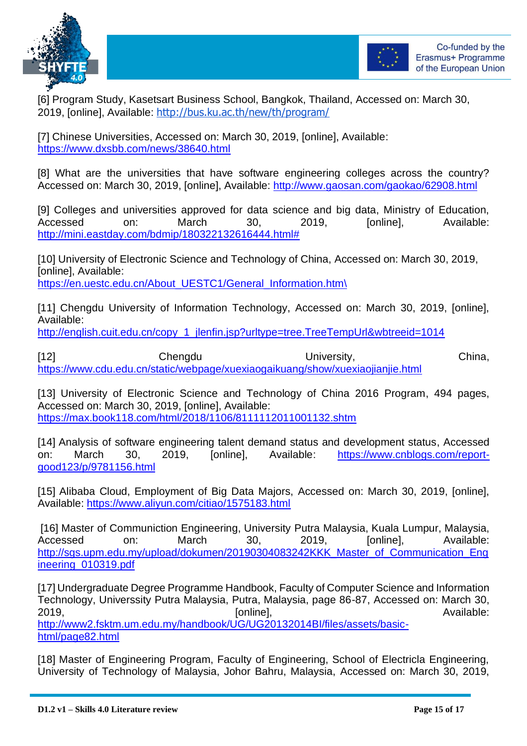



[6] Program Study, Kasetsart Business School, Bangkok, Thailand, Accessed on: March 30, 2019, [online], Available: <http://bus.ku.ac.th/new/th/program/>

[7] Chinese Universities, Accessed on: March 30, 2019, [online], Available: <https://www.dxsbb.com/news/38640.html>

[8] What are the universities that have software engineering colleges across the country? Accessed on: March 30, 2019, [online], Available: <http://www.gaosan.com/gaokao/62908.html>

[9] Colleges and universities approved for data science and big data, Ministry of Education, Accessed on: March 30, 2019, [online], Available: [http://mini.eastday.com/bdmip/180322132616444.html#](http://mini.eastday.com/bdmip/180322132616444.html)

[10] University of Electronic Science and Technology of China, Accessed on: March 30, 2019, [online], Available: [https://en.uestc.edu.cn/About\\_UESTC1/General\\_Information.htm\](https://en.uestc.edu.cn/About_UESTC1/General_Information.htm/)

[11] Chengdu University of Information Technology, Accessed on: March 30, 2019, [online], Available:

[http://english.cuit.edu.cn/copy\\_1\\_jlenfin.jsp?urltype=tree.TreeTempUrl&wbtreeid=1014](http://english.cuit.edu.cn/copy_1_jlenfin.jsp?urltype=tree.TreeTempUrl&wbtreeid=1014)

[12] Chengdu University, China, <https://www.cdu.edu.cn/static/webpage/xuexiaogaikuang/show/xuexiaojianjie.html>

[13] University of Electronic Science and Technology of China 2016 Program, 494 pages, Accessed on: March 30, 2019, [online], Available: <https://max.book118.com/html/2018/1106/8111112011001132.shtm>

[14] [Analysis of software engineering talent demand status and development status,](https://www.cnblogs.com/report-good123/p/9781156.html) Accessed on: March 30, 2019, [online], Available: [https://www.cnblogs.com/report](https://www.cnblogs.com/report-good123/p/9781156.html)[good123/p/9781156.html](https://www.cnblogs.com/report-good123/p/9781156.html)

[15] Alibaba Cloud, Employment of Big Data Majors, Accessed on: March 30, 2019, [online], Available: https://www.aliyun.com/citiao/1575183.html

[16] Master of Communiction Engineering, University Putra Malaysia, Kuala Lumpur, Malaysia, Accessed on: March 30, 2019, [online], Available: [http://sgs.upm.edu.my/upload/dokumen/20190304083242KKK\\_Master\\_of\\_Communication\\_Eng](http://sgs.upm.edu.my/upload/dokumen/20190304083242KKK_Master_of_Communication_Engineering_010319.pdf) [ineering\\_010319.pdf](http://sgs.upm.edu.my/upload/dokumen/20190304083242KKK_Master_of_Communication_Engineering_010319.pdf)

[17] Undergraduate Degree Programme Handbook, Faculty of Computer Science and Information Technology, Universsity Putra Malaysia, Putra, Malaysia, page 86-87, Accessed on: March 30, 2019, **Example 2019**, **Conserversity Continuel**, **Continuel**, *Continuel*, *Available:* [http://www2.fsktm.um.edu.my/handbook/UG/UG20132014BI/files/assets/basic](http://www2.fsktm.um.edu.my/handbook/UG/UG20132014BI/files/assets/basic-html/page82.html)[html/page82.html](http://www2.fsktm.um.edu.my/handbook/UG/UG20132014BI/files/assets/basic-html/page82.html)

[18] Master of Engineering Program, Faculty of Engineering, School of Electricla Engineering, University of Technology of Malaysia, Johor Bahru, Malaysia, Accessed on: March 30, 2019,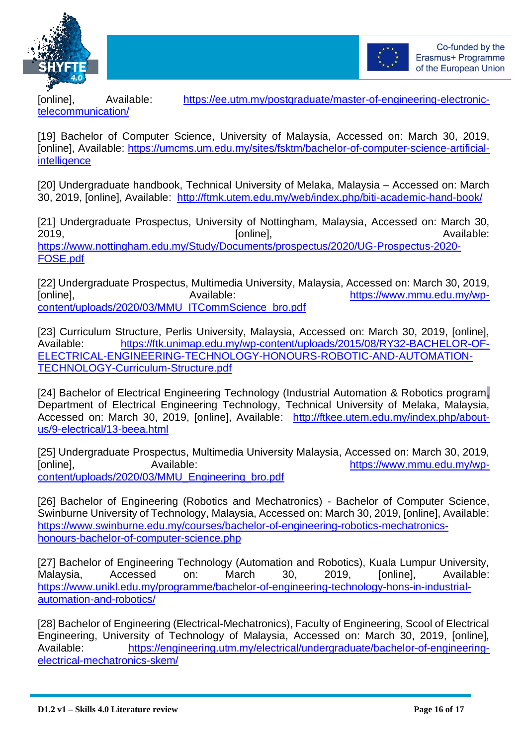



[telecommunication/](https://ee.utm.my/postgraduate/master-of-engineering-electronic-telecommunication/)

[online], Available: [https://ee.utm.my/postgraduate/master-of-engineering-electronic-](https://ee.utm.my/postgraduate/master-of-engineering-electronic-telecommunication/)

[19] Bachelor of Computer Science, University of Malaysia, Accessed on: March 30, 2019, [online], Available: [https://umcms.um.edu.my/sites/fsktm/bachelor-of-computer-science-artificial](https://umcms.um.edu.my/sites/fsktm/bachelor-of-computer-science-artificial-intelligence)[intelligence](https://umcms.um.edu.my/sites/fsktm/bachelor-of-computer-science-artificial-intelligence)

[20] Undergraduate handbook, Technical University of Melaka, Malaysia – Accessed on: March 30, 2019, [online], Available: <http://ftmk.utem.edu.my/web/index.php/biti-academic-hand-book/>

[21] Undergraduate Prospectus, University of Nottingham, Malaysia, Accessed on: March 30, 2019, 2019, and the contract of the contract of continue], the contract of the contract of the contract of the contract of the contract of the contract of the contract of the contract of the contract of the contract of the [https://www.nottingham.edu.my/Study/Documents/prospectus/2020/UG-Prospectus-2020-](https://www.nottingham.edu.my/Study/Documents/prospectus/2020/UG-Prospectus-2020-FOSE.pdf) [FOSE.pdf](https://www.nottingham.edu.my/Study/Documents/prospectus/2020/UG-Prospectus-2020-FOSE.pdf)

[22] Undergraduate Prospectus, Multimedia University, Malaysia, Accessed on: March 30, 2019, [online], [https://www.mmu.edu.my/wp](https://www.mmu.edu.my/wp-content/uploads/2020/03/MMU_ITCommScience_bro.pdf)[content/uploads/2020/03/MMU\\_ITCommScience\\_bro.pdf](https://www.mmu.edu.my/wp-content/uploads/2020/03/MMU_ITCommScience_bro.pdf)

[23] Curriculum Structure, Perlis University, Malaysia, Accessed on: March 30, 2019, [online], Available: [https://ftk.unimap.edu.my/wp-content/uploads/2015/08/RY32-BACHELOR-OF-](https://ftk.unimap.edu.my/wp-content/uploads/2015/08/RY32-BACHELOR-OF-ELECTRICAL-ENGINEERING-TECHNOLOGY-HONOURS-ROBOTIC-AND-AUTOMATION-TECHNOLOGY-Curriculum-Structure.pdf)[ELECTRICAL-ENGINEERING-TECHNOLOGY-HONOURS-ROBOTIC-AND-AUTOMATION-](https://ftk.unimap.edu.my/wp-content/uploads/2015/08/RY32-BACHELOR-OF-ELECTRICAL-ENGINEERING-TECHNOLOGY-HONOURS-ROBOTIC-AND-AUTOMATION-TECHNOLOGY-Curriculum-Structure.pdf)[TECHNOLOGY-Curriculum-Structure.pdf](https://ftk.unimap.edu.my/wp-content/uploads/2015/08/RY32-BACHELOR-OF-ELECTRICAL-ENGINEERING-TECHNOLOGY-HONOURS-ROBOTIC-AND-AUTOMATION-TECHNOLOGY-Curriculum-Structure.pdf)

[24] Bachelor of Electrical Engineering Technology (Industrial Automation & Robotics program**,**  Department of Electrical Engineering Technology, Technical University of Melaka, Malaysia, Accessed on: March 30, 2019, [online], Available: [http://ftkee.utem.edu.my/index.php/about](http://ftkee.utem.edu.my/index.php/about-us/9-electrical/13-beea.html)[us/9-electrical/13-beea.html](http://ftkee.utem.edu.my/index.php/about-us/9-electrical/13-beea.html)

[25] Undergraduate Prospectus, Multimedia University Malaysia, Accessed on: March 30, 2019, [online], Available: [https://www.mmu.edu.my/wp](https://www.mmu.edu.my/wp-content/uploads/2020/03/MMU_Engineering_bro.pdf)[content/uploads/2020/03/MMU\\_Engineering\\_bro.pdf](https://www.mmu.edu.my/wp-content/uploads/2020/03/MMU_Engineering_bro.pdf)

[26] Bachelor of Engineering (Robotics and Mechatronics) - Bachelor of Computer Science, Swinburne University of Technology, Malaysia, Accessed on: March 30, 2019, [online], Available: [https://www.swinburne.edu.my/courses/bachelor-of-engineering-robotics-mechatronics](https://www.swinburne.edu.my/courses/bachelor-of-engineering-robotics-mechatronics-honours-bachelor-of-computer-science.php)[honours-bachelor-of-computer-science.php](https://www.swinburne.edu.my/courses/bachelor-of-engineering-robotics-mechatronics-honours-bachelor-of-computer-science.php)

[27] Bachelor of Engineering Technology (Automation and Robotics), Kuala Lumpur University, Malaysia, Accessed on: March 30, 2019, [online], Available: [https://www.unikl.edu.my/programme/bachelor-of-engineering-technology-hons-in-industrial](https://www.unikl.edu.my/programme/bachelor-of-engineering-technology-hons-in-industrial-automation-and-robotics/)[automation-and-robotics/](https://www.unikl.edu.my/programme/bachelor-of-engineering-technology-hons-in-industrial-automation-and-robotics/)

[28] Bachelor of Engineering (Electrical-Mechatronics), Faculty of Engineering, Scool of Electrical Engineering, University of Technology of Malaysia, Accessed on: March 30, 2019, [online], Available: [https://engineering.utm.my/electrical/undergraduate/bachelor-of-engineering](https://engineering.utm.my/electrical/undergraduate/bachelor-of-engineering-electrical-mechatronics-skem/)[electrical-mechatronics-skem/](https://engineering.utm.my/electrical/undergraduate/bachelor-of-engineering-electrical-mechatronics-skem/)